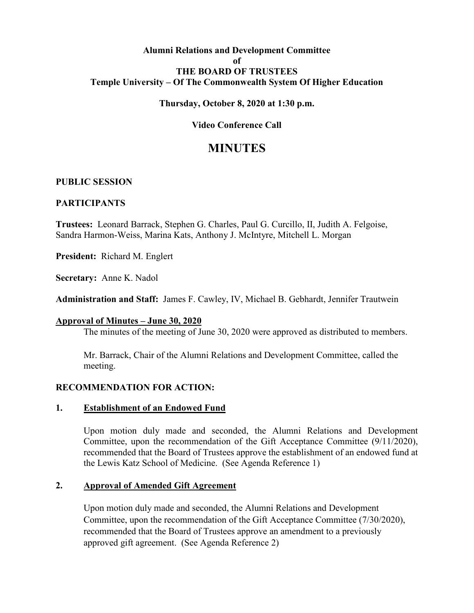## **Alumni Relations and Development Committee of THE BOARD OF TRUSTEES Temple University – Of The Commonwealth System Of Higher Education**

## **Thursday, October 8, 2020 at 1:30 p.m.**

# **Video Conference Call**

# **MINUTES**

#### **PUBLIC SESSION**

#### **PARTICIPANTS**

**Trustees:** Leonard Barrack, Stephen G. Charles, Paul G. Curcillo, II, Judith A. Felgoise, Sandra Harmon-Weiss, Marina Kats, Anthony J. McIntyre, Mitchell L. Morgan

**President:** Richard M. Englert

**Secretary:** Anne K. Nadol

**Administration and Staff:** James F. Cawley, IV, Michael B. Gebhardt, Jennifer Trautwein

#### **Approval of Minutes – June 30, 2020**

The minutes of the meeting of June 30, 2020 were approved as distributed to members.

Mr. Barrack, Chair of the Alumni Relations and Development Committee, called the meeting.

#### **RECOMMENDATION FOR ACTION:**

#### **1. Establishment of an Endowed Fund**

Upon motion duly made and seconded, the Alumni Relations and Development Committee, upon the recommendation of the Gift Acceptance Committee (9/11/2020), recommended that the Board of Trustees approve the establishment of an endowed fund at the Lewis Katz School of Medicine. (See Agenda Reference 1)

#### **2. Approval of Amended Gift Agreement**

Upon motion duly made and seconded, the Alumni Relations and Development Committee, upon the recommendation of the Gift Acceptance Committee (7/30/2020), recommended that the Board of Trustees approve an amendment to a previously approved gift agreement. (See Agenda Reference 2)